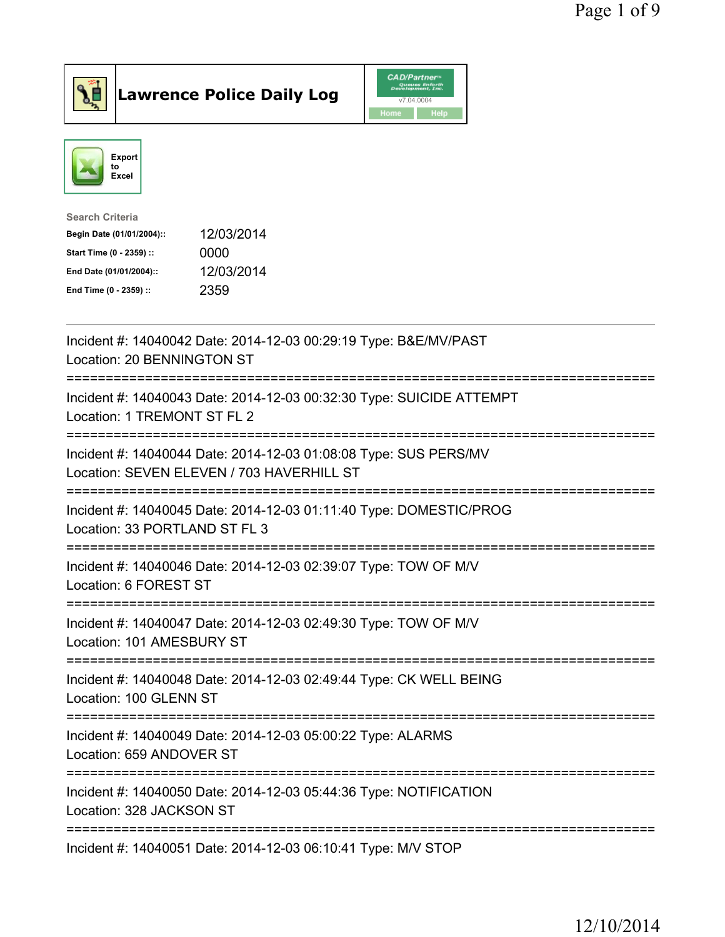



| <b>Search Criteria</b>    |            |
|---------------------------|------------|
| Begin Date (01/01/2004):: | 12/03/2014 |
| Start Time (0 - 2359) ::  | 0000       |
| End Date (01/01/2004)::   | 12/03/2014 |
| End Time (0 - 2359) ::    | 2359       |
|                           |            |

| Incident #: 14040042 Date: 2014-12-03 00:29:19 Type: B&E/MV/PAST<br>Location: 20 BENNINGTON ST                                  |
|---------------------------------------------------------------------------------------------------------------------------------|
| Incident #: 14040043 Date: 2014-12-03 00:32:30 Type: SUICIDE ATTEMPT<br>Location: 1 TREMONT ST FL 2                             |
| Incident #: 14040044 Date: 2014-12-03 01:08:08 Type: SUS PERS/MV<br>Location: SEVEN ELEVEN / 703 HAVERHILL ST                   |
| Incident #: 14040045 Date: 2014-12-03 01:11:40 Type: DOMESTIC/PROG<br>Location: 33 PORTLAND ST FL 3                             |
| Incident #: 14040046 Date: 2014-12-03 02:39:07 Type: TOW OF M/V<br>Location: 6 FOREST ST                                        |
| Incident #: 14040047 Date: 2014-12-03 02:49:30 Type: TOW OF M/V<br>Location: 101 AMESBURY ST<br>======================          |
| Incident #: 14040048 Date: 2014-12-03 02:49:44 Type: CK WELL BEING<br>Location: 100 GLENN ST<br>------------------------------- |
| Incident #: 14040049 Date: 2014-12-03 05:00:22 Type: ALARMS<br>Location: 659 ANDOVER ST                                         |
| Incident #: 14040050 Date: 2014-12-03 05:44:36 Type: NOTIFICATION<br>Location: 328 JACKSON ST                                   |
| =====================<br>Incident #: 14040051 Date: 2014-12-03 06:10:41 Type: M/V STOP                                          |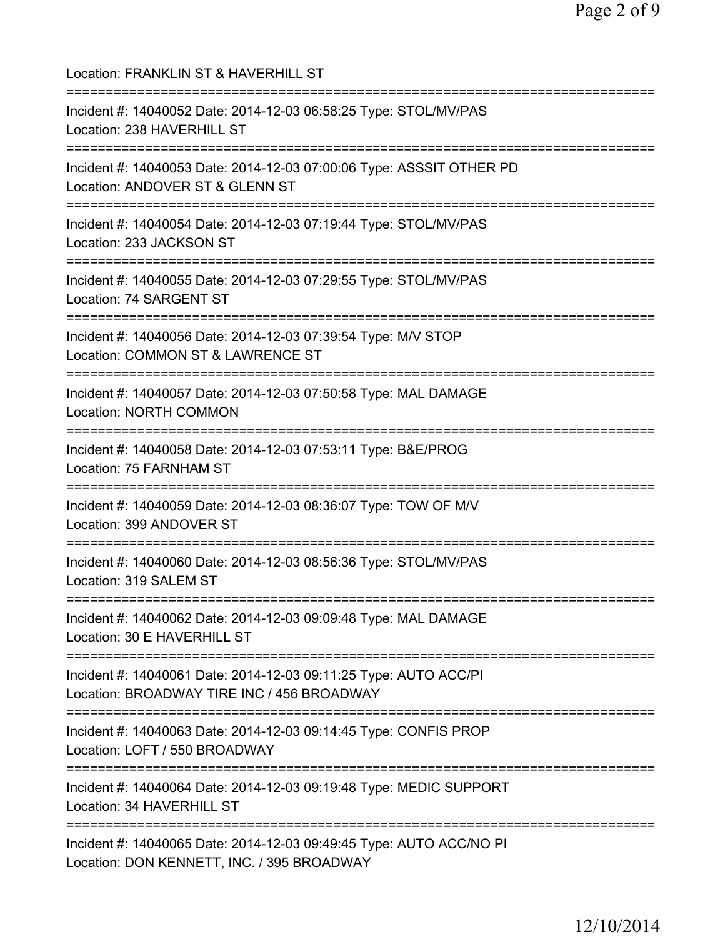| Location: FRANKLIN ST & HAVERHILL ST                                                                                                  |
|---------------------------------------------------------------------------------------------------------------------------------------|
| Incident #: 14040052 Date: 2014-12-03 06:58:25 Type: STOL/MV/PAS<br>Location: 238 HAVERHILL ST                                        |
| Incident #: 14040053 Date: 2014-12-03 07:00:06 Type: ASSSIT OTHER PD<br>Location: ANDOVER ST & GLENN ST                               |
| Incident #: 14040054 Date: 2014-12-03 07:19:44 Type: STOL/MV/PAS<br>Location: 233 JACKSON ST                                          |
| Incident #: 14040055 Date: 2014-12-03 07:29:55 Type: STOL/MV/PAS<br>Location: 74 SARGENT ST                                           |
| Incident #: 14040056 Date: 2014-12-03 07:39:54 Type: M/V STOP<br>Location: COMMON ST & LAWRENCE ST                                    |
| Incident #: 14040057 Date: 2014-12-03 07:50:58 Type: MAL DAMAGE<br><b>Location: NORTH COMMON</b><br>--------------------------------- |
| Incident #: 14040058 Date: 2014-12-03 07:53:11 Type: B&E/PROG<br>Location: 75 FARNHAM ST                                              |
| Incident #: 14040059 Date: 2014-12-03 08:36:07 Type: TOW OF M/V<br>Location: 399 ANDOVER ST                                           |
| Incident #: 14040060 Date: 2014-12-03 08:56:36 Type: STOL/MV/PAS<br>Location: 319 SALEM ST                                            |
| Incident #: 14040062 Date: 2014-12-03 09:09:48 Type: MAL DAMAGE<br>Location: 30 E HAVERHILL ST                                        |
| Incident #: 14040061 Date: 2014-12-03 09:11:25 Type: AUTO ACC/PI<br>Location: BROADWAY TIRE INC / 456 BROADWAY                        |
| Incident #: 14040063 Date: 2014-12-03 09:14:45 Type: CONFIS PROP<br>Location: LOFT / 550 BROADWAY                                     |
| Incident #: 14040064 Date: 2014-12-03 09:19:48 Type: MEDIC SUPPORT<br>Location: 34 HAVERHILL ST                                       |
| Incident #: 14040065 Date: 2014-12-03 09:49:45 Type: AUTO ACC/NO PI<br>Location: DON KENNETT, INC. / 395 BROADWAY                     |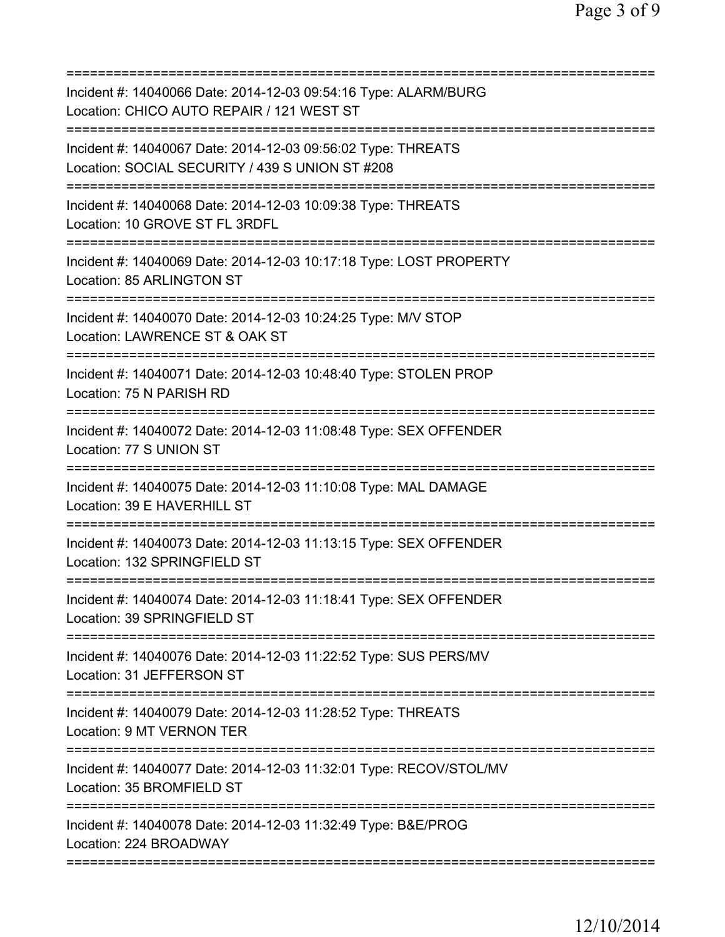| Incident #: 14040066 Date: 2014-12-03 09:54:16 Type: ALARM/BURG<br>Location: CHICO AUTO REPAIR / 121 WEST ST    |
|-----------------------------------------------------------------------------------------------------------------|
| Incident #: 14040067 Date: 2014-12-03 09:56:02 Type: THREATS<br>Location: SOCIAL SECURITY / 439 S UNION ST #208 |
| Incident #: 14040068 Date: 2014-12-03 10:09:38 Type: THREATS<br>Location: 10 GROVE ST FL 3RDFL                  |
| Incident #: 14040069 Date: 2014-12-03 10:17:18 Type: LOST PROPERTY<br>Location: 85 ARLINGTON ST                 |
| Incident #: 14040070 Date: 2014-12-03 10:24:25 Type: M/V STOP<br>Location: LAWRENCE ST & OAK ST                 |
| Incident #: 14040071 Date: 2014-12-03 10:48:40 Type: STOLEN PROP<br>Location: 75 N PARISH RD                    |
| Incident #: 14040072 Date: 2014-12-03 11:08:48 Type: SEX OFFENDER<br>Location: 77 S UNION ST                    |
| Incident #: 14040075 Date: 2014-12-03 11:10:08 Type: MAL DAMAGE<br>Location: 39 E HAVERHILL ST                  |
| Incident #: 14040073 Date: 2014-12-03 11:13:15 Type: SEX OFFENDER<br>Location: 132 SPRINGFIELD ST               |
| ===========<br>Incident #: 14040074 Date: 2014-12-03 11:18:41 Type: SEX OFFENDER<br>Location: 39 SPRINGFIELD ST |
| Incident #: 14040076 Date: 2014-12-03 11:22:52 Type: SUS PERS/MV<br>Location: 31 JEFFERSON ST                   |
| Incident #: 14040079 Date: 2014-12-03 11:28:52 Type: THREATS<br>Location: 9 MT VERNON TER                       |
| Incident #: 14040077 Date: 2014-12-03 11:32:01 Type: RECOV/STOL/MV<br>Location: 35 BROMFIELD ST                 |
| Incident #: 14040078 Date: 2014-12-03 11:32:49 Type: B&E/PROG<br>Location: 224 BROADWAY                         |
|                                                                                                                 |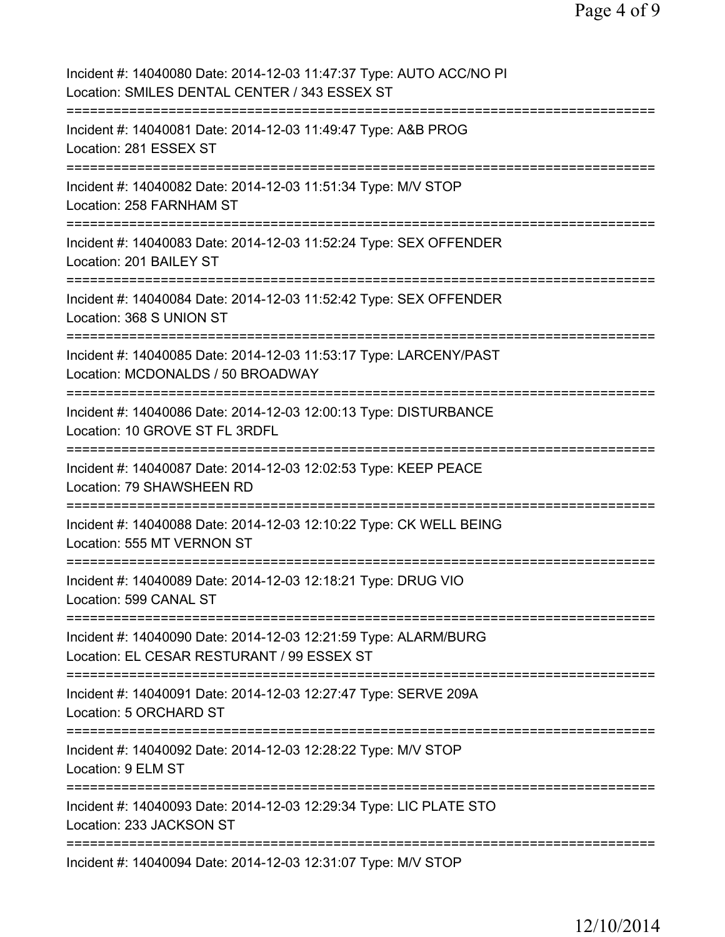| Incident #: 14040080 Date: 2014-12-03 11:47:37 Type: AUTO ACC/NO PI<br>Location: SMILES DENTAL CENTER / 343 ESSEX ST          |
|-------------------------------------------------------------------------------------------------------------------------------|
| Incident #: 14040081 Date: 2014-12-03 11:49:47 Type: A&B PROG<br>Location: 281 ESSEX ST                                       |
| Incident #: 14040082 Date: 2014-12-03 11:51:34 Type: M/V STOP<br>Location: 258 FARNHAM ST                                     |
| Incident #: 14040083 Date: 2014-12-03 11:52:24 Type: SEX OFFENDER<br>Location: 201 BAILEY ST                                  |
| Incident #: 14040084 Date: 2014-12-03 11:52:42 Type: SEX OFFENDER<br>Location: 368 S UNION ST                                 |
| Incident #: 14040085 Date: 2014-12-03 11:53:17 Type: LARCENY/PAST<br>Location: MCDONALDS / 50 BROADWAY                        |
| Incident #: 14040086 Date: 2014-12-03 12:00:13 Type: DISTURBANCE<br>Location: 10 GROVE ST FL 3RDFL                            |
| Incident #: 14040087 Date: 2014-12-03 12:02:53 Type: KEEP PEACE<br>Location: 79 SHAWSHEEN RD                                  |
| Incident #: 14040088 Date: 2014-12-03 12:10:22 Type: CK WELL BEING<br>Location: 555 MT VERNON ST                              |
| Incident #: 14040089 Date: 2014-12-03 12:18:21 Type: DRUG VIO<br>Location: 599 CANAL ST                                       |
| Incident #: 14040090 Date: 2014-12-03 12:21:59 Type: ALARM/BURG<br>Location: EL CESAR RESTURANT / 99 ESSEX ST                 |
| ================================<br>Incident #: 14040091 Date: 2014-12-03 12:27:47 Type: SERVE 209A<br>Location: 5 ORCHARD ST |
| Incident #: 14040092 Date: 2014-12-03 12:28:22 Type: M/V STOP<br>Location: 9 ELM ST                                           |
| Incident #: 14040093 Date: 2014-12-03 12:29:34 Type: LIC PLATE STO<br>Location: 233 JACKSON ST                                |
| Incident #: 14040094 Date: 2014-12-03 12:31:07 Type: M/V STOP                                                                 |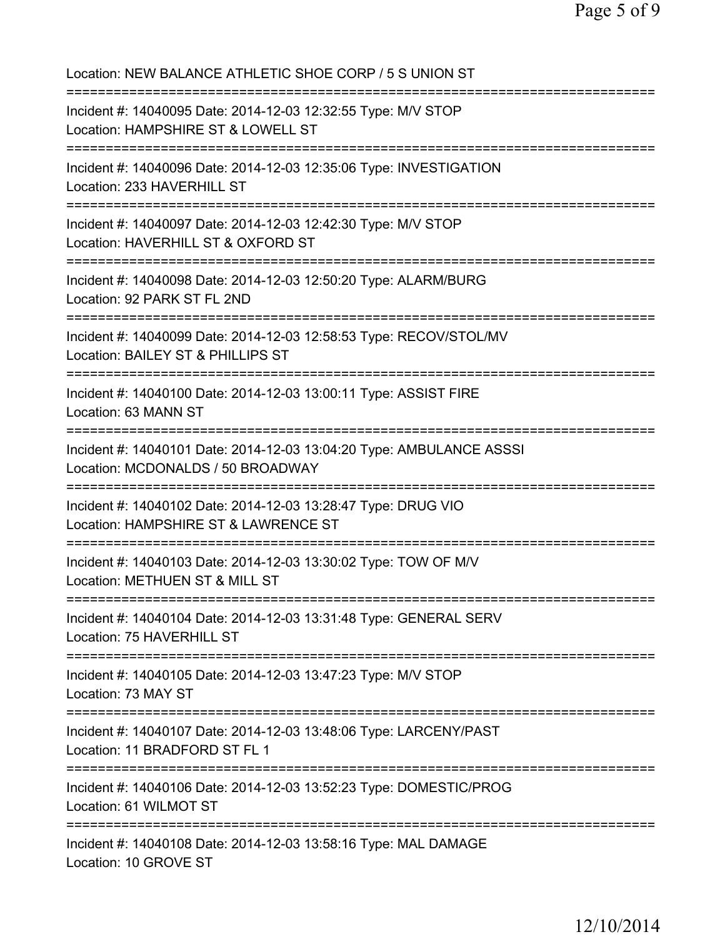Location: NEW BALANCE ATHLETIC SHOE CORP / 5 S UNION ST =========================================================================== Incident #: 14040095 Date: 2014-12-03 12:32:55 Type: M/V STOP Location: HAMPSHIRE ST & LOWELL ST =========================================================================== Incident #: 14040096 Date: 2014-12-03 12:35:06 Type: INVESTIGATION Location: 233 HAVERHILL ST =========================================================================== Incident #: 14040097 Date: 2014-12-03 12:42:30 Type: M/V STOP Location: HAVERHILL ST & OXFORD ST =========================================================================== Incident #: 14040098 Date: 2014-12-03 12:50:20 Type: ALARM/BURG Location: 92 PARK ST FL 2ND =========================================================================== Incident #: 14040099 Date: 2014-12-03 12:58:53 Type: RECOV/STOL/MV Location: BAILEY ST & PHILLIPS ST =========================================================================== Incident #: 14040100 Date: 2014-12-03 13:00:11 Type: ASSIST FIRE Location: 63 MANN ST =========================================================================== Incident #: 14040101 Date: 2014-12-03 13:04:20 Type: AMBULANCE ASSSI Location: MCDONALDS / 50 BROADWAY =========================================================================== Incident #: 14040102 Date: 2014-12-03 13:28:47 Type: DRUG VIO Location: HAMPSHIRE ST & LAWRENCE ST =========================================================================== Incident #: 14040103 Date: 2014-12-03 13:30:02 Type: TOW OF M/V Location: METHUEN ST & MILL ST =========================================================================== Incident #: 14040104 Date: 2014-12-03 13:31:48 Type: GENERAL SERV Location: 75 HAVERHILL ST =========================================================================== Incident #: 14040105 Date: 2014-12-03 13:47:23 Type: M/V STOP Location: 73 MAY ST =========================================================================== Incident #: 14040107 Date: 2014-12-03 13:48:06 Type: LARCENY/PAST Location: 11 BRADFORD ST FL 1 =========================================================================== Incident #: 14040106 Date: 2014-12-03 13:52:23 Type: DOMESTIC/PROG Location: 61 WILMOT ST =========================================================================== Incident #: 14040108 Date: 2014-12-03 13:58:16 Type: MAL DAMAGE Location: 10 GROVE ST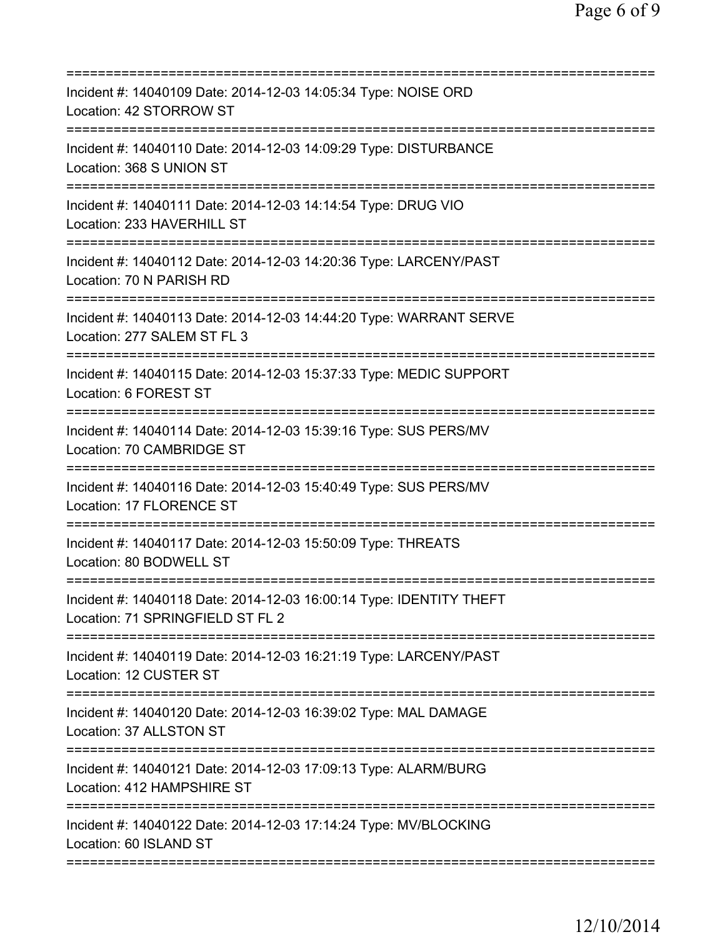| Incident #: 14040109 Date: 2014-12-03 14:05:34 Type: NOISE ORD<br>Location: 42 STORROW ST               |
|---------------------------------------------------------------------------------------------------------|
| Incident #: 14040110 Date: 2014-12-03 14:09:29 Type: DISTURBANCE<br>Location: 368 S UNION ST            |
| Incident #: 14040111 Date: 2014-12-03 14:14:54 Type: DRUG VIO<br>Location: 233 HAVERHILL ST             |
| Incident #: 14040112 Date: 2014-12-03 14:20:36 Type: LARCENY/PAST<br>Location: 70 N PARISH RD           |
| Incident #: 14040113 Date: 2014-12-03 14:44:20 Type: WARRANT SERVE<br>Location: 277 SALEM ST FL 3       |
| Incident #: 14040115 Date: 2014-12-03 15:37:33 Type: MEDIC SUPPORT<br>Location: 6 FOREST ST             |
| Incident #: 14040114 Date: 2014-12-03 15:39:16 Type: SUS PERS/MV<br>Location: 70 CAMBRIDGE ST           |
| Incident #: 14040116 Date: 2014-12-03 15:40:49 Type: SUS PERS/MV<br>Location: 17 FLORENCE ST            |
| Incident #: 14040117 Date: 2014-12-03 15:50:09 Type: THREATS<br>Location: 80 BODWELL ST                 |
| Incident #: 14040118 Date: 2014-12-03 16:00:14 Type: IDENTITY THEFT<br>Location: 71 SPRINGFIELD ST FL 2 |
| Incident #: 14040119 Date: 2014-12-03 16:21:19 Type: LARCENY/PAST<br>Location: 12 CUSTER ST             |
| Incident #: 14040120 Date: 2014-12-03 16:39:02 Type: MAL DAMAGE<br>Location: 37 ALLSTON ST              |
| Incident #: 14040121 Date: 2014-12-03 17:09:13 Type: ALARM/BURG<br>Location: 412 HAMPSHIRE ST           |
| Incident #: 14040122 Date: 2014-12-03 17:14:24 Type: MV/BLOCKING<br>Location: 60 ISLAND ST              |
|                                                                                                         |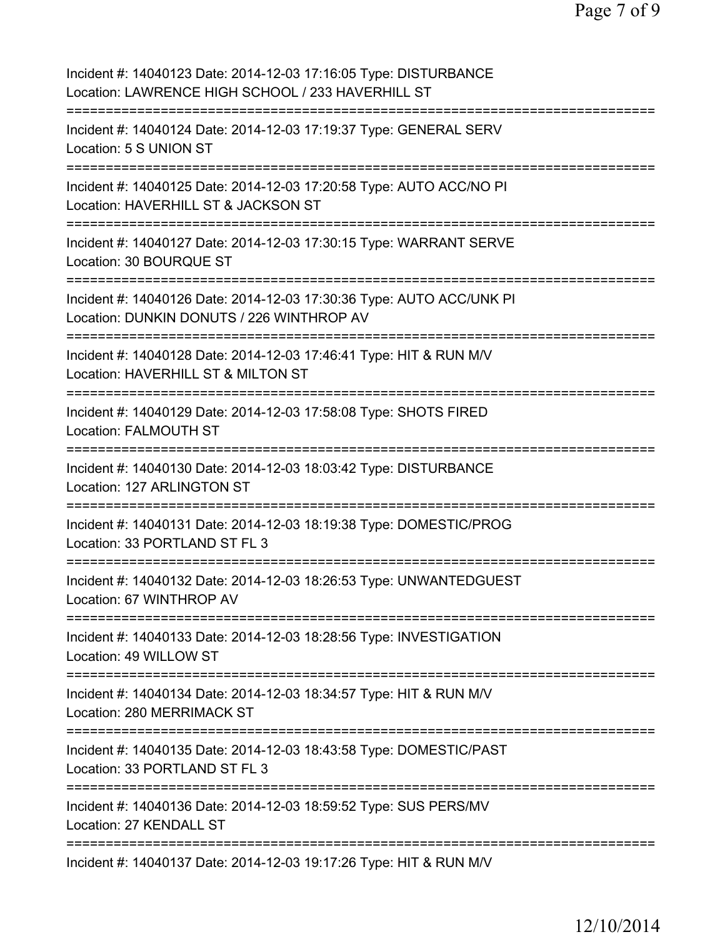| Incident #: 14040123 Date: 2014-12-03 17:16:05 Type: DISTURBANCE<br>Location: LAWRENCE HIGH SCHOOL / 233 HAVERHILL ST                             |
|---------------------------------------------------------------------------------------------------------------------------------------------------|
| Incident #: 14040124 Date: 2014-12-03 17:19:37 Type: GENERAL SERV<br>Location: 5 S UNION ST                                                       |
| Incident #: 14040125 Date: 2014-12-03 17:20:58 Type: AUTO ACC/NO PI<br>Location: HAVERHILL ST & JACKSON ST                                        |
| Incident #: 14040127 Date: 2014-12-03 17:30:15 Type: WARRANT SERVE<br>Location: 30 BOURQUE ST                                                     |
| Incident #: 14040126 Date: 2014-12-03 17:30:36 Type: AUTO ACC/UNK PI<br>Location: DUNKIN DONUTS / 226 WINTHROP AV                                 |
| Incident #: 14040128 Date: 2014-12-03 17:46:41 Type: HIT & RUN M/V<br>Location: HAVERHILL ST & MILTON ST<br>==================<br>=============== |
| Incident #: 14040129 Date: 2014-12-03 17:58:08 Type: SHOTS FIRED<br>Location: FALMOUTH ST<br>=====================================                |
| Incident #: 14040130 Date: 2014-12-03 18:03:42 Type: DISTURBANCE<br>Location: 127 ARLINGTON ST                                                    |
| Incident #: 14040131 Date: 2014-12-03 18:19:38 Type: DOMESTIC/PROG<br>Location: 33 PORTLAND ST FL 3                                               |
| ==================<br>Incident #: 14040132 Date: 2014-12-03 18:26:53 Type: UNWANTEDGUEST<br>Location: 67 WINTHROP AV                              |
| Incident #: 14040133 Date: 2014-12-03 18:28:56 Type: INVESTIGATION<br>Location: 49 WILLOW ST                                                      |
| Incident #: 14040134 Date: 2014-12-03 18:34:57 Type: HIT & RUN M/V<br>Location: 280 MERRIMACK ST                                                  |
| Incident #: 14040135 Date: 2014-12-03 18:43:58 Type: DOMESTIC/PAST<br>Location: 33 PORTLAND ST FL 3                                               |
| Incident #: 14040136 Date: 2014-12-03 18:59:52 Type: SUS PERS/MV<br>Location: 27 KENDALL ST                                                       |
| Incident #: 14040137 Date: 2014-12-03 19:17:26 Type: HIT & RUN M/V                                                                                |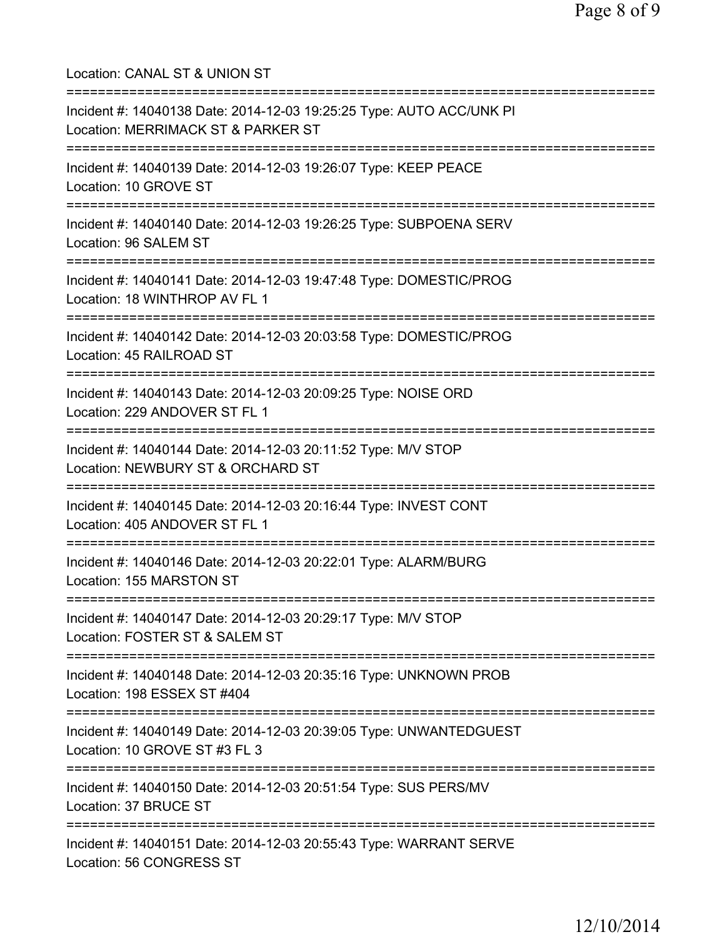Location: CANAL ST & UNION ST =========================================================================== Incident #: 14040138 Date: 2014-12-03 19:25:25 Type: AUTO ACC/UNK PI Location: MERRIMACK ST & PARKER ST =========================================================================== Incident #: 14040139 Date: 2014-12-03 19:26:07 Type: KEEP PEACE Location: 10 GROVE ST =========================================================================== Incident #: 14040140 Date: 2014-12-03 19:26:25 Type: SUBPOENA SERV Location: 96 SALEM ST =========================================================================== Incident #: 14040141 Date: 2014-12-03 19:47:48 Type: DOMESTIC/PROG Location: 18 WINTHROP AV FL 1 =========================================================================== Incident #: 14040142 Date: 2014-12-03 20:03:58 Type: DOMESTIC/PROG Location: 45 RAILROAD ST =========================================================================== Incident #: 14040143 Date: 2014-12-03 20:09:25 Type: NOISE ORD Location: 229 ANDOVER ST FL 1 =========================================================================== Incident #: 14040144 Date: 2014-12-03 20:11:52 Type: M/V STOP Location: NEWBURY ST & ORCHARD ST =========================================================================== Incident #: 14040145 Date: 2014-12-03 20:16:44 Type: INVEST CONT Location: 405 ANDOVER ST FL 1 =========================================================================== Incident #: 14040146 Date: 2014-12-03 20:22:01 Type: ALARM/BURG Location: 155 MARSTON ST =========================================================================== Incident #: 14040147 Date: 2014-12-03 20:29:17 Type: M/V STOP Location: FOSTER ST & SALEM ST =========================================================================== Incident #: 14040148 Date: 2014-12-03 20:35:16 Type: UNKNOWN PROB Location: 198 ESSEX ST #404 =========================================================================== Incident #: 14040149 Date: 2014-12-03 20:39:05 Type: UNWANTEDGUEST Location: 10 GROVE ST #3 FL 3 =========================================================================== Incident #: 14040150 Date: 2014-12-03 20:51:54 Type: SUS PERS/MV Location: 37 BRUCE ST =========================================================================== Incident #: 14040151 Date: 2014-12-03 20:55:43 Type: WARRANT SERVE Location: 56 CONGRESS ST